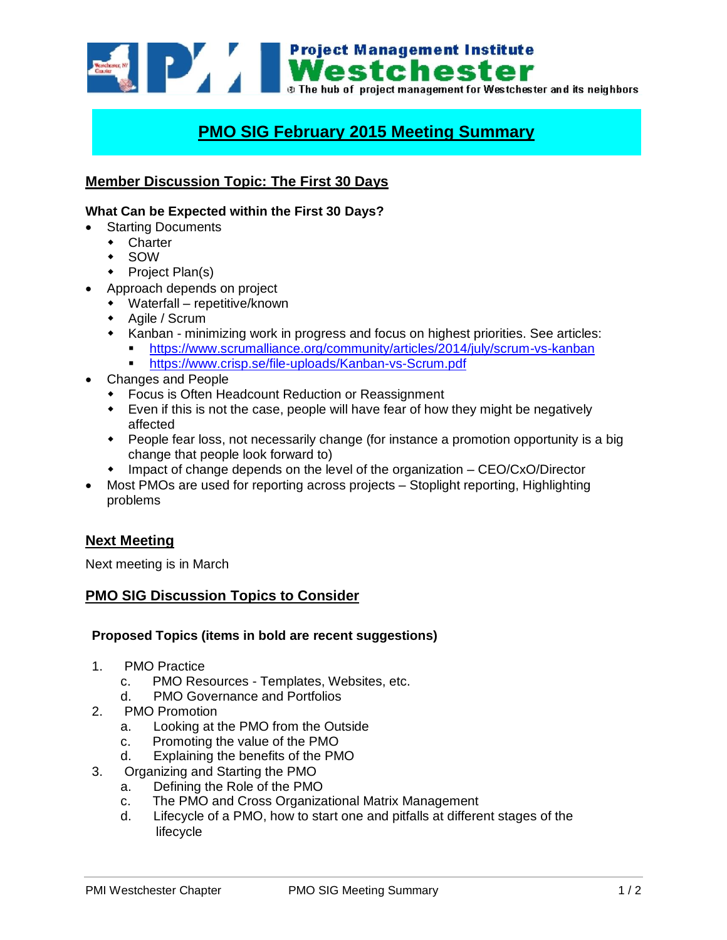

# **PMO SIG February 2015 Meeting Summary**

## **Member Discussion Topic: The First 30 Days**

#### **What Can be Expected within the First 30 Days?**

- Starting Documents
	- Charter
	- SOW
	- $\leftarrow$  Project Plan(s)
- Approach depends on project
- Waterfall repetitive/known
- Agile / Scrum
- \* Kanban minimizing work in progress and focus on highest priorities. See articles:
	- <https://www.scrumalliance.org/community/articles/2014/july/scrum-vs-kanban>
		- <https://www.crisp.se/file-uploads/Kanban-vs-Scrum.pdf>
- Changes and People
	- Focus is Often Headcount Reduction or Reassignment
	- Even if this is not the case, people will have fear of how they might be negatively affected
	- People fear loss, not necessarily change (for instance a promotion opportunity is a big change that people look forward to)
	- Impact of change depends on the level of the organization CEO/CxO/Director
- Most PMOs are used for reporting across projects Stoplight reporting, Highlighting problems

### **Next Meeting**

Next meeting is in March

## **PMO SIG Discussion Topics to Consider**

#### **Proposed Topics (items in bold are recent suggestions)**

- 1. PMO Practice
	- c. PMO Resources Templates, Websites, etc.
	- d. PMO Governance and Portfolios
- 2. PMO Promotion
	- a. Looking at the PMO from the Outside
	- c. Promoting the value of the PMO
	- d. Explaining the benefits of the PMO
- 3. Organizing and Starting the PMO
	- a. Defining the Role of the PMO
	- c. The PMO and Cross Organizational Matrix Management
	- d. Lifecycle of a PMO, how to start one and pitfalls at different stages of the lifecycle